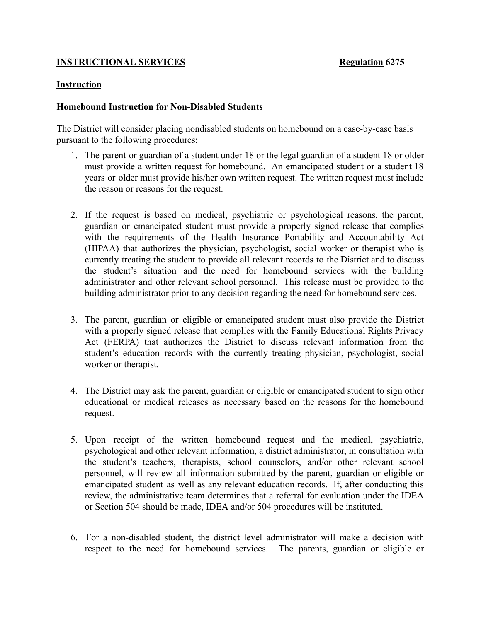## **INSTRUCTIONAL SERVICES Regulation 6275**

## **Instruction**

## **Homebound Instruction for Non-Disabled Students**

The District will consider placing nondisabled students on homebound on a case-by-case basis pursuant to the following procedures:

- 1. The parent or guardian of a student under 18 or the legal guardian of a student 18 or older must provide a written request for homebound. An emancipated student or a student 18 years or older must provide his/her own written request. The written request must include the reason or reasons for the request.
- 2. If the request is based on medical, psychiatric or psychological reasons, the parent, guardian or emancipated student must provide a properly signed release that complies with the requirements of the Health Insurance Portability and Accountability Act (HIPAA) that authorizes the physician, psychologist, social worker or therapist who is currently treating the student to provide all relevant records to the District and to discuss the student's situation and the need for homebound services with the building administrator and other relevant school personnel. This release must be provided to the building administrator prior to any decision regarding the need for homebound services.
- 3. The parent, guardian or eligible or emancipated student must also provide the District with a properly signed release that complies with the Family Educational Rights Privacy Act (FERPA) that authorizes the District to discuss relevant information from the student's education records with the currently treating physician, psychologist, social worker or therapist.
- 4. The District may ask the parent, guardian or eligible or emancipated student to sign other educational or medical releases as necessary based on the reasons for the homebound request.
- 5. Upon receipt of the written homebound request and the medical, psychiatric, psychological and other relevant information, a district administrator, in consultation with the student's teachers, therapists, school counselors, and/or other relevant school personnel, will review all information submitted by the parent, guardian or eligible or emancipated student as well as any relevant education records. If, after conducting this review, the administrative team determines that a referral for evaluation under the IDEA or Section 504 should be made, IDEA and/or 504 procedures will be instituted.
- 6. For a non-disabled student, the district level administrator will make a decision with respect to the need for homebound services. The parents, guardian or eligible or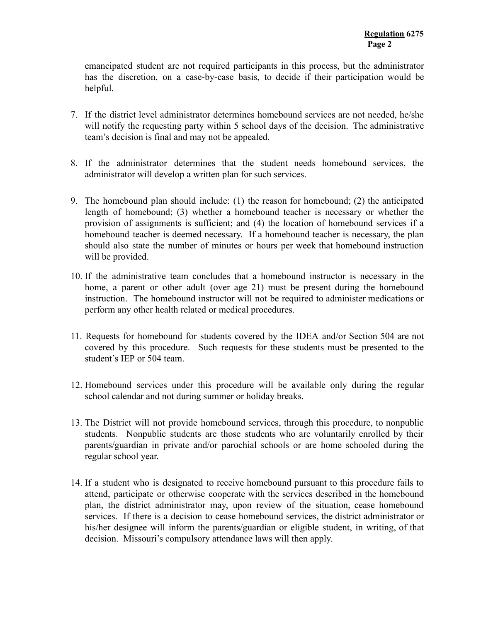emancipated student are not required participants in this process, but the administrator has the discretion, on a case-by-case basis, to decide if their participation would be helpful.

- 7. If the district level administrator determines homebound services are not needed, he/she will notify the requesting party within 5 school days of the decision. The administrative team's decision is final and may not be appealed.
- 8. If the administrator determines that the student needs homebound services, the administrator will develop a written plan for such services.
- 9. The homebound plan should include: (1) the reason for homebound; (2) the anticipated length of homebound; (3) whether a homebound teacher is necessary or whether the provision of assignments is sufficient; and (4) the location of homebound services if a homebound teacher is deemed necessary. If a homebound teacher is necessary, the plan should also state the number of minutes or hours per week that homebound instruction will be provided.
- 10. If the administrative team concludes that a homebound instructor is necessary in the home, a parent or other adult (over age 21) must be present during the homebound instruction. The homebound instructor will not be required to administer medications or perform any other health related or medical procedures.
- 11. Requests for homebound for students covered by the IDEA and/or Section 504 are not covered by this procedure. Such requests for these students must be presented to the student's IEP or 504 team.
- 12. Homebound services under this procedure will be available only during the regular school calendar and not during summer or holiday breaks.
- 13. The District will not provide homebound services, through this procedure, to nonpublic students. Nonpublic students are those students who are voluntarily enrolled by their parents/guardian in private and/or parochial schools or are home schooled during the regular school year.
- 14. If a student who is designated to receive homebound pursuant to this procedure fails to attend, participate or otherwise cooperate with the services described in the homebound plan, the district administrator may, upon review of the situation, cease homebound services. If there is a decision to cease homebound services, the district administrator or his/her designee will inform the parents/guardian or eligible student, in writing, of that decision. Missouri's compulsory attendance laws will then apply.